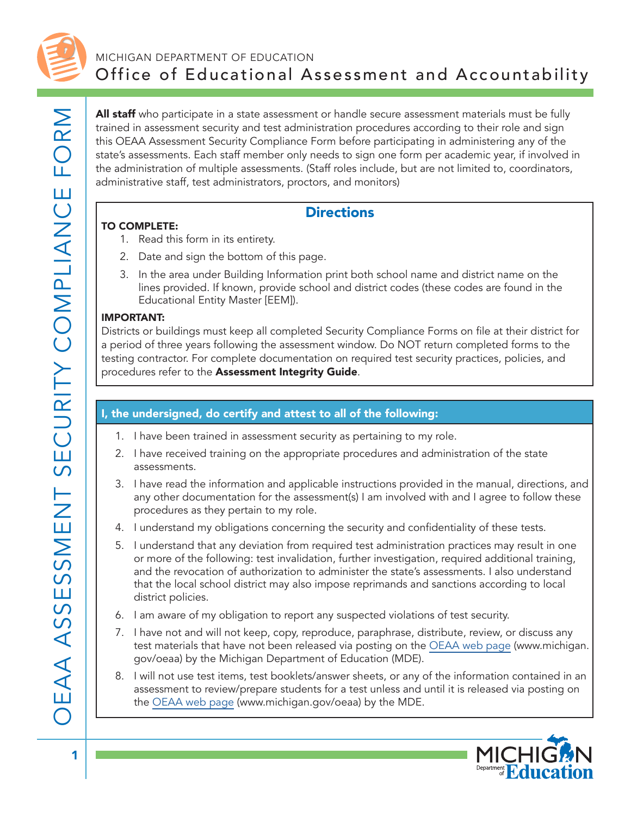

## MICHIGAN DEPARTMENT OF EDUCATION Office of Educational Assessment and Accountability

All staff who participate in a state assessment or handle secure assessment materials must be fully trained in assessment security and test administration procedures according to their role and sign this OEAA Assessment Security Compliance Form before participating in administering any of the state's assessments. Each staff member only needs to sign one form per academic year, if involved in the administration of multiple assessments. (Staff roles include, but are not limited to, coordinators, administrative staff, test administrators, proctors, and monitors)

## **Directions**

#### TO COMPLETE:

- 1. Read this form in its entirety.
- 2. Date and sign the bottom of this page.
- 3. In the area under Building Information print both school name and district name on the lines provided. If known, provide school and district codes (these codes are found in the Educational Entity Master [EEM]).

#### IMPORTANT:

Districts or buildings must keep all completed Security Compliance Forms on file at their district for a period of three years following the assessment window. Do NOT return completed forms to the testing contractor. For complete documentation on required test security practices, policies, and procedures refer to the Assessment Integrity Guide.

### I, the undersigned, do certify and attest to all of the following:

- 1. I have been trained in assessment security as pertaining to my role.
- 2. I have received training on the appropriate procedures and administration of the state assessments.
- 3. I have read the information and applicable instructions provided in the manual, directions, and any other documentation for the assessment(s) I am involved with and I agree to follow these procedures as they pertain to my role.
- 4. I understand my obligations concerning the security and confidentiality of these tests.
- 5. I understand that any deviation from required test administration practices may result in one or more of the following: test invalidation, further investigation, required additional training, and the revocation of authorization to administer the state's assessments. I also understand that the local school district may also impose reprimands and sanctions according to local district policies.
- 6. I am aware of my obligation to report any suspected violations of test security.
- 7. I have not and will not keep, copy, reproduce, paraphrase, distribute, review, or discuss any test materials that have not been released via posting on the [OEAA web page](http://www.michigan.gov/oeaa) (www.michigan. gov/oeaa) by the Michigan Department of Education (MDE).
- 8. I will not use test items, test booklets/answer sheets, or any of the information contained in an assessment to review/prepare students for a test unless and until it is released via posting on the [OEAA web page](http://www.michigan.gov/oeaa) (www.michigan.gov/oeaa) by the MDE.